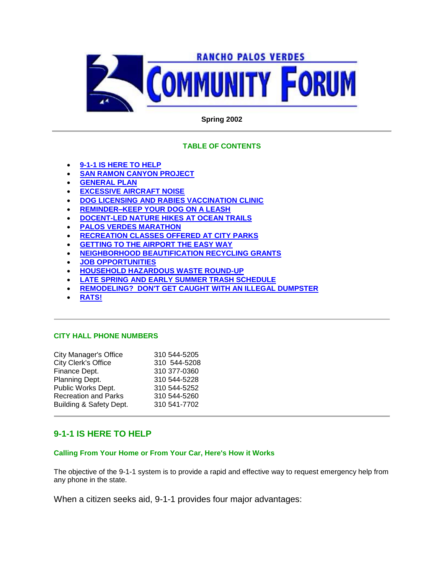

# **Spring 2002**

# **TABLE OF CONTENTS**

- **9-1-1 IS HERE TO HELP**
- **SAN RAMON CANYON PROJECT**
- **GENERAL PLAN**
- **EXCESSIVE AIRCRAFT NOISE**
- **DOG LICENSING AND RABIES VACCINATION CLINIC**
- **REMINDER–KEEP YOUR DOG ON A LEASH**
- **DOCENT-LED NATURE HIKES AT OCEAN TRAILS**
- **PALOS VERDES MARATHON**
- **RECREATION CLASSES OFFERED AT CITY PARKS**
- **GETTING TO THE AIRPORT THE EASY WAY**
- **NEIGHBORHOOD BEAUTIFICATION RECYCLING GRANTS**
- **JOB OPPORTUNITIES**
- **HOUSEHOLD HAZARDOUS WASTE ROUND-UP**
- **LATE SPRING AND EARLY SUMMER TRASH SCHEDULE**
- **REMODELING? DON'T GET CAUGHT WITH AN ILLEGAL DUMPSTER**
- **RATS!**

### **CITY HALL PHONE NUMBERS**

| <b>City Manager's Office</b> | 310 544-5205 |
|------------------------------|--------------|
| City Clerk's Office          | 310 544-5208 |
| Finance Dept.                | 310 377-0360 |
| Planning Dept.               | 310 544-5228 |
| Public Works Dept.           | 310 544-5252 |
| <b>Recreation and Parks</b>  | 310 544-5260 |
| Building & Safety Dept.      | 310 541-7702 |
|                              |              |

# **9-1-1 IS HERE TO HELP**

# **Calling From Your Home or From Your Car, Here's How it Works**

The objective of the 9-1-1 system is to provide a rapid and effective way to request emergency help from any phone in the state.

When a citizen seeks aid, 9-1-1 provides four major advantages: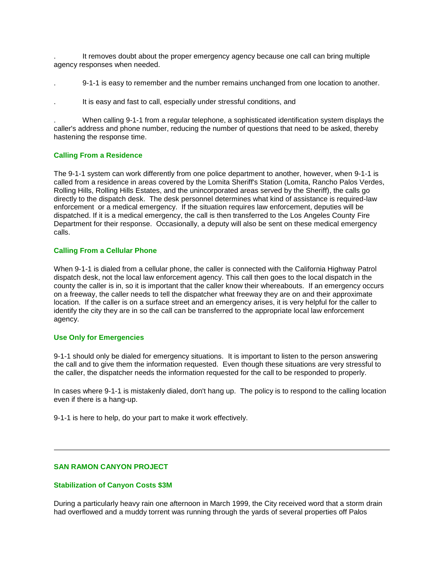. It removes doubt about the proper emergency agency because one call can bring multiple agency responses when needed.

- . 9-1-1 is easy to remember and the number remains unchanged from one location to another.
- . It is easy and fast to call, especially under stressful conditions, and

. When calling 9-1-1 from a regular telephone, a sophisticated identification system displays the caller's address and phone number, reducing the number of questions that need to be asked, thereby hastening the response time.

### **Calling From a Residence**

The 9-1-1 system can work differently from one police department to another, however, when 9-1-1 is called from a residence in areas covered by the Lomita Sheriff's Station (Lomita, Rancho Palos Verdes, Rolling Hills, Rolling Hills Estates, and the unincorporated areas served by the Sheriff), the calls go directly to the dispatch desk. The desk personnel determines what kind of assistance is required-law enforcement or a medical emergency. If the situation requires law enforcement, deputies will be dispatched. If it is a medical emergency, the call is then transferred to the Los Angeles County Fire Department for their response. Occasionally, a deputy will also be sent on these medical emergency calls.

#### **Calling From a Cellular Phone**

When 9-1-1 is dialed from a cellular phone, the caller is connected with the California Highway Patrol dispatch desk, not the local law enforcement agency. This call then goes to the local dispatch in the county the caller is in, so it is important that the caller know their whereabouts. If an emergency occurs on a freeway, the caller needs to tell the dispatcher what freeway they are on and their approximate location. If the caller is on a surface street and an emergency arises, it is very helpful for the caller to identify the city they are in so the call can be transferred to the appropriate local law enforcement agency.

#### **Use Only for Emergencies**

9-1-1 should only be dialed for emergency situations. It is important to listen to the person answering the call and to give them the information requested. Even though these situations are very stressful to the caller, the dispatcher needs the information requested for the call to be responded to properly.

In cases where 9-1-1 is mistakenly dialed, don't hang up. The policy is to respond to the calling location even if there is a hang-up.

9-1-1 is here to help, do your part to make it work effectively.

# **SAN RAMON CANYON PROJECT**

#### **Stabilization of Canyon Costs \$3M**

During a particularly heavy rain one afternoon in March 1999, the City received word that a storm drain had overflowed and a muddy torrent was running through the yards of several properties off Palos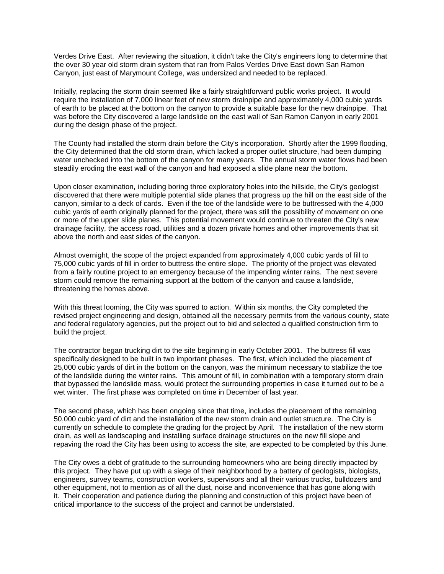Verdes Drive East. After reviewing the situation, it didn't take the City's engineers long to determine that the over 30 year old storm drain system that ran from Palos Verdes Drive East down San Ramon Canyon, just east of Marymount College, was undersized and needed to be replaced.

Initially, replacing the storm drain seemed like a fairly straightforward public works project. It would require the installation of 7,000 linear feet of new storm drainpipe and approximately 4,000 cubic yards of earth to be placed at the bottom on the canyon to provide a suitable base for the new drainpipe. That was before the City discovered a large landslide on the east wall of San Ramon Canyon in early 2001 during the design phase of the project.

The County had installed the storm drain before the City's incorporation. Shortly after the 1999 flooding, the City determined that the old storm drain, which lacked a proper outlet structure, had been dumping water unchecked into the bottom of the canyon for many years. The annual storm water flows had been steadily eroding the east wall of the canyon and had exposed a slide plane near the bottom.

Upon closer examination, including boring three exploratory holes into the hillside, the City's geologist discovered that there were multiple potential slide planes that progress up the hill on the east side of the canyon, similar to a deck of cards. Even if the toe of the landslide were to be buttressed with the 4,000 cubic yards of earth originally planned for the project, there was still the possibility of movement on one or more of the upper slide planes. This potential movement would continue to threaten the City's new drainage facility, the access road, utilities and a dozen private homes and other improvements that sit above the north and east sides of the canyon.

Almost overnight, the scope of the project expanded from approximately 4,000 cubic yards of fill to 75,000 cubic yards of fill in order to buttress the entire slope. The priority of the project was elevated from a fairly routine project to an emergency because of the impending winter rains. The next severe storm could remove the remaining support at the bottom of the canyon and cause a landslide, threatening the homes above.

With this threat looming, the City was spurred to action. Within six months, the City completed the revised project engineering and design, obtained all the necessary permits from the various county, state and federal regulatory agencies, put the project out to bid and selected a qualified construction firm to build the project.

The contractor began trucking dirt to the site beginning in early October 2001. The buttress fill was specifically designed to be built in two important phases. The first, which included the placement of 25,000 cubic yards of dirt in the bottom on the canyon, was the minimum necessary to stabilize the toe of the landslide during the winter rains. This amount of fill, in combination with a temporary storm drain that bypassed the landslide mass, would protect the surrounding properties in case it turned out to be a wet winter. The first phase was completed on time in December of last year.

The second phase, which has been ongoing since that time, includes the placement of the remaining 50,000 cubic yard of dirt and the installation of the new storm drain and outlet structure. The City is currently on schedule to complete the grading for the project by April. The installation of the new storm drain, as well as landscaping and installing surface drainage structures on the new fill slope and repaving the road the City has been using to access the site, are expected to be completed by this June.

The City owes a debt of gratitude to the surrounding homeowners who are being directly impacted by this project. They have put up with a siege of their neighborhood by a battery of geologists, biologists, engineers, survey teams, construction workers, supervisors and all their various trucks, bulldozers and other equipment, not to mention as of all the dust, noise and inconvenience that has gone along with it. Their cooperation and patience during the planning and construction of this project have been of critical importance to the success of the project and cannot be understated.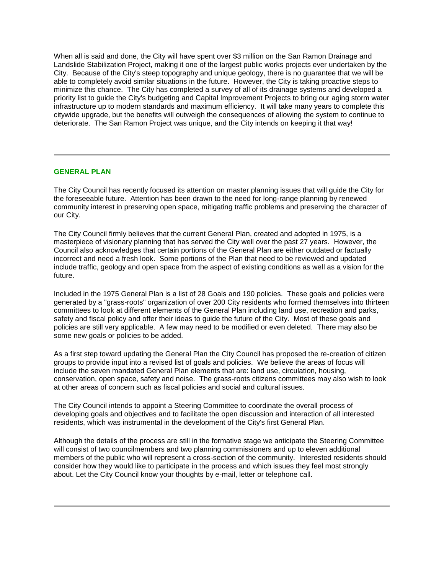When all is said and done, the City will have spent over \$3 million on the San Ramon Drainage and Landslide Stabilization Project, making it one of the largest public works projects ever undertaken by the City. Because of the City's steep topography and unique geology, there is no guarantee that we will be able to completely avoid similar situations in the future. However, the City is taking proactive steps to minimize this chance. The City has completed a survey of all of its drainage systems and developed a priority list to guide the City's budgeting and Capital Improvement Projects to bring our aging storm water infrastructure up to modern standards and maximum efficiency. It will take many years to complete this citywide upgrade, but the benefits will outweigh the consequences of allowing the system to continue to deteriorate. The San Ramon Project was unique, and the City intends on keeping it that way!

### **GENERAL PLAN**

The City Council has recently focused its attention on master planning issues that will guide the City for the foreseeable future. Attention has been drawn to the need for long-range planning by renewed community interest in preserving open space, mitigating traffic problems and preserving the character of our City.

The City Council firmly believes that the current General Plan, created and adopted in 1975, is a masterpiece of visionary planning that has served the City well over the past 27 years. However, the Council also acknowledges that certain portions of the General Plan are either outdated or factually incorrect and need a fresh look. Some portions of the Plan that need to be reviewed and updated include traffic, geology and open space from the aspect of existing conditions as well as a vision for the future.

Included in the 1975 General Plan is a list of 28 Goals and 190 policies. These goals and policies were generated by a "grass-roots" organization of over 200 City residents who formed themselves into thirteen committees to look at different elements of the General Plan including land use, recreation and parks, safety and fiscal policy and offer their ideas to guide the future of the City. Most of these goals and policies are still very applicable. A few may need to be modified or even deleted. There may also be some new goals or policies to be added.

As a first step toward updating the General Plan the City Council has proposed the re-creation of citizen groups to provide input into a revised list of goals and policies. We believe the areas of focus will include the seven mandated General Plan elements that are: land use, circulation, housing, conservation, open space, safety and noise. The grass-roots citizens committees may also wish to look at other areas of concern such as fiscal policies and social and cultural issues.

The City Council intends to appoint a Steering Committee to coordinate the overall process of developing goals and objectives and to facilitate the open discussion and interaction of all interested residents, which was instrumental in the development of the City's first General Plan.

Although the details of the process are still in the formative stage we anticipate the Steering Committee will consist of two councilmembers and two planning commissioners and up to eleven additional members of the public who will represent a cross-section of the community. Interested residents should consider how they would like to participate in the process and which issues they feel most strongly about. Let the City Council know your thoughts by e-mail, letter or telephone call.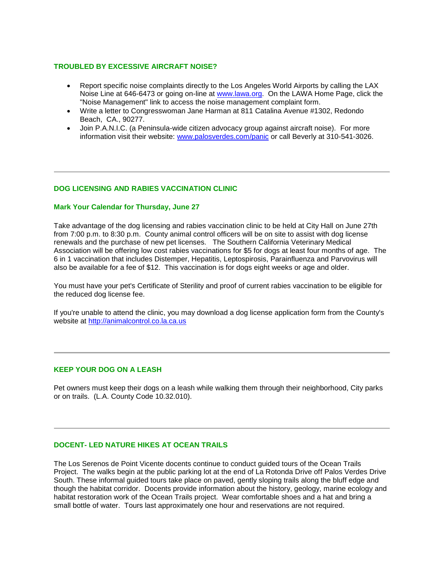# **TROUBLED BY EXCESSIVE AIRCRAFT NOISE?**

- Report specific noise complaints directly to the Los Angeles World Airports by calling the LAX Noise Line at 646-6473 or going on-line at www.lawa.org. On the LAWA Home Page, click the "Noise Management" link to access the noise management complaint form.
- Write a letter to Congresswoman Jane Harman at 811 Catalina Avenue #1302, Redondo Beach, CA., 90277.
- Join P.A.N.I.C. (a Peninsula-wide citizen advocacy group against aircraft noise). For more information visit their website: www.palosverdes.com/panic or call Beverly at 310-541-3026.

### **DOG LICENSING AND RABIES VACCINATION CLINIC**

#### **Mark Your Calendar for Thursday, June 27**

Take advantage of the dog licensing and rabies vaccination clinic to be held at City Hall on June 27th from 7:00 p.m. to 8:30 p.m. County animal control officers will be on site to assist with dog license renewals and the purchase of new pet licenses. The Southern California Veterinary Medical Association will be offering low cost rabies vaccinations for \$5 for dogs at least four months of age. The 6 in 1 vaccination that includes Distemper, Hepatitis, Leptospirosis, Parainfluenza and Parvovirus will also be available for a fee of \$12. This vaccination is for dogs eight weeks or age and older.

You must have your pet's Certificate of Sterility and proof of current rabies vaccination to be eligible for the reduced dog license fee.

If you're unable to attend the clinic, you may download a dog license application form from the County's website at http://animalcontrol.co.la.ca.us

#### **KEEP YOUR DOG ON A LEASH**

Pet owners must keep their dogs on a leash while walking them through their neighborhood, City parks or on trails. (L.A. County Code 10.32.010).

### **DOCENT- LED NATURE HIKES AT OCEAN TRAILS**

The Los Serenos de Point Vicente docents continue to conduct guided tours of the Ocean Trails Project. The walks begin at the public parking lot at the end of La Rotonda Drive off Palos Verdes Drive South. These informal guided tours take place on paved, gently sloping trails along the bluff edge and though the habitat corridor. Docents provide information about the history, geology, marine ecology and habitat restoration work of the Ocean Trails project. Wear comfortable shoes and a hat and bring a small bottle of water. Tours last approximately one hour and reservations are not required.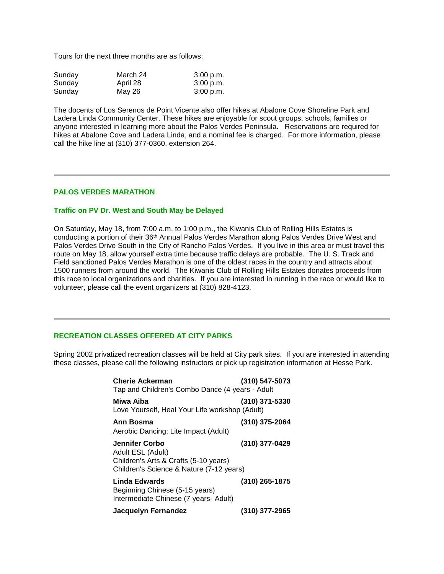Tours for the next three months are as follows:

| Sunday | March 24 | 3:00 p.m. |
|--------|----------|-----------|
| Sunday | April 28 | 3:00 p.m. |
| Sunday | May 26   | 3:00 p.m. |

The docents of Los Serenos de Point Vicente also offer hikes at Abalone Cove Shoreline Park and Ladera Linda Community Center. These hikes are enjoyable for scout groups, schools, families or anyone interested in learning more about the Palos Verdes Peninsula. Reservations are required for hikes at Abalone Cove and Ladera Linda, and a nominal fee is charged. For more information, please call the hike line at (310) 377-0360, extension 264.

# **PALOS VERDES MARATHON**

#### **Traffic on PV Dr. West and South May be Delayed**

On Saturday, May 18, from 7:00 a.m. to 1:00 p.m., the Kiwanis Club of Rolling Hills Estates is conducting a portion of their 36th Annual Palos Verdes Marathon along Palos Verdes Drive West and Palos Verdes Drive South in the City of Rancho Palos Verdes. If you live in this area or must travel this route on May 18, allow yourself extra time because traffic delays are probable. The U. S. Track and Field sanctioned Palos Verdes Marathon is one of the oldest races in the country and attracts about 1500 runners from around the world. The Kiwanis Club of Rolling Hills Estates donates proceeds from this race to local organizations and charities. If you are interested in running in the race or would like to volunteer, please call the event organizers at (310) 828-4123.

# **RECREATION CLASSES OFFERED AT CITY PARKS**

Spring 2002 privatized recreation classes will be held at City park sites. If you are interested in attending these classes, please call the following instructors or pick up registration information at Hesse Park.

| <b>Cherie Ackerman</b><br>Tap and Children's Combo Dance (4 years - Adult                                                | (310) 547-5073   |
|--------------------------------------------------------------------------------------------------------------------------|------------------|
| Miwa Aiba<br>Love Yourself, Heal Your Life workshop (Adult)                                                              | (310) 371-5330   |
| Ann Bosma<br>Aerobic Dancing: Lite Impact (Adult)                                                                        | $(310)$ 375-2064 |
| Jennifer Corbo<br>Adult ESL (Adult)<br>Children's Arts & Crafts (5-10 years)<br>Children's Science & Nature (7-12 years) | (310) 377-0429   |
| Linda Edwards<br>Beginning Chinese (5-15 years)<br>Intermediate Chinese (7 years- Adult)                                 | (310) 265-1875   |
| Jacquelyn Fernandez                                                                                                      | (310) 377-2965   |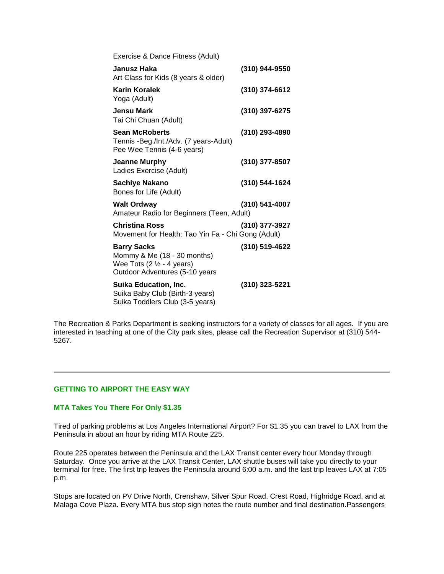| Exercise & Dance Fitness (Adult)                                                                                                    |                |
|-------------------------------------------------------------------------------------------------------------------------------------|----------------|
| Janusz Haka<br>Art Class for Kids (8 years & older)                                                                                 | (310) 944-9550 |
| <b>Karin Koralek</b><br>Yoga (Adult)                                                                                                | (310) 374-6612 |
| <b>Jensu Mark</b><br>Tai Chi Chuan (Adult)                                                                                          | (310) 397-6275 |
| <b>Sean McRoberts</b><br>Tennis - Beg./Int./Adv. (7 years-Adult)<br>Pee Wee Tennis (4-6 years)                                      | (310) 293-4890 |
| Jeanne Murphy<br>Ladies Exercise (Adult)                                                                                            | (310) 377-8507 |
| <b>Sachiye Nakano</b><br>Bones for Life (Adult)                                                                                     | (310) 544-1624 |
| <b>Walt Ordway</b><br>Amateur Radio for Beginners (Teen, Adult)                                                                     | (310) 541-4007 |
| <b>Christina Ross</b><br>Movement for Health: Tao Yin Fa - Chi Gong (Adult)                                                         | (310) 377-3927 |
| <b>Barry Sacks</b><br>Mommy & Me (18 - 30 months)<br>Wee Tots $(2 \frac{1}{2} - 4 \text{ years})$<br>Outdoor Adventures (5-10 years | (310) 519-4622 |
| <b>Suika Education, Inc.</b><br>Suika Baby Club (Birth-3 years)<br>Suika Toddlers Club (3-5 years)                                  | (310) 323-5221 |

The Recreation & Parks Department is seeking instructors for a variety of classes for all ages. If you are interested in teaching at one of the City park sites, please call the Recreation Supervisor at (310) 544- 5267.

### **GETTING TO AIRPORT THE EASY WAY**

### **MTA Takes You There For Only \$1.35**

Tired of parking problems at Los Angeles International Airport? For \$1.35 you can travel to LAX from the Peninsula in about an hour by riding MTA Route 225.

Route 225 operates between the Peninsula and the LAX Transit center every hour Monday through Saturday. Once you arrive at the LAX Transit Center, LAX shuttle buses will take you directly to your terminal for free. The first trip leaves the Peninsula around 6:00 a.m. and the last trip leaves LAX at 7:05 p.m.

Stops are located on PV Drive North, Crenshaw, Silver Spur Road, Crest Road, Highridge Road, and at Malaga Cove Plaza. Every MTA bus stop sign notes the route number and final destination.Passengers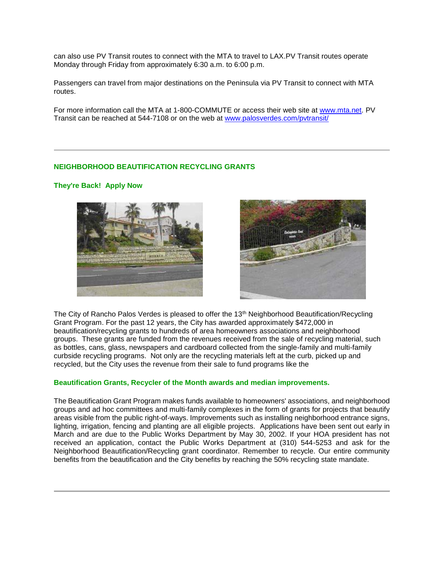can also use PV Transit routes to connect with the MTA to travel to LAX.PV Transit routes operate Monday through Friday from approximately 6:30 a.m. to 6:00 p.m.

Passengers can travel from major destinations on the Peninsula via PV Transit to connect with MTA routes.

For more information call the MTA at 1-800-COMMUTE or access their web site at www.mta.net. PV Transit can be reached at 544-7108 or on the web at www.palosverdes.com/pvtransit/

# **NEIGHBORHOOD BEAUTIFICATION RECYCLING GRANTS**

### **They're Back! Apply Now**





The City of Rancho Palos Verdes is pleased to offer the 13<sup>th</sup> Neighborhood Beautification/Recycling Grant Program. For the past 12 years, the City has awarded approximately \$472,000 in beautification/recycling grants to hundreds of area homeowners associations and neighborhood groups. These grants are funded from the revenues received from the sale of recycling material, such as bottles, cans, glass, newspapers and cardboard collected from the single-family and multi-family curbside recycling programs. Not only are the recycling materials left at the curb, picked up and recycled, but the City uses the revenue from their sale to fund programs like the

### **Beautification Grants, Recycler of the Month awards and median improvements.**

The Beautification Grant Program makes funds available to homeowners' associations, and neighborhood groups and ad hoc committees and multi-family complexes in the form of grants for projects that beautify areas visible from the public right-of-ways. Improvements such as installing neighborhood entrance signs, lighting, irrigation, fencing and planting are all eligible projects. Applications have been sent out early in March and are due to the Public Works Department by May 30, 2002. If your HOA president has not received an application, contact the Public Works Department at (310) 544-5253 and ask for the Neighborhood Beautification/Recycling grant coordinator. Remember to recycle. Our entire community benefits from the beautification and the City benefits by reaching the 50% recycling state mandate.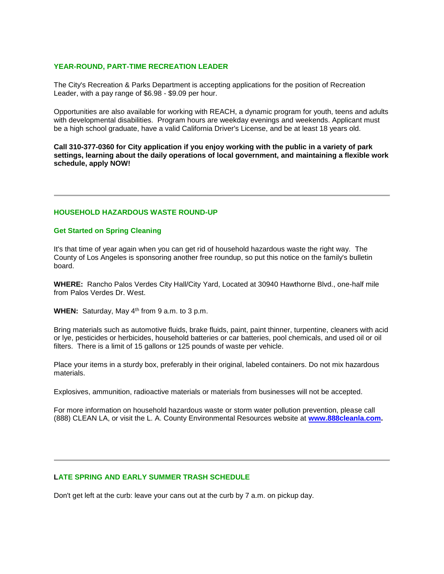### **YEAR-ROUND, PART-TIME RECREATION LEADER**

The City's Recreation & Parks Department is accepting applications for the position of Recreation Leader, with a pay range of \$6.98 - \$9.09 per hour.

Opportunities are also available for working with REACH, a dynamic program for youth, teens and adults with developmental disabilities. Program hours are weekday evenings and weekends. Applicant must be a high school graduate, have a valid California Driver's License, and be at least 18 years old.

**Call 310-377-0360 for City application if you enjoy working with the public in a variety of park settings, learning about the daily operations of local government, and maintaining a flexible work schedule, apply NOW!**

#### **HOUSEHOLD HAZARDOUS WASTE ROUND-UP**

#### **Get Started on Spring Cleaning**

It's that time of year again when you can get rid of household hazardous waste the right way. The County of Los Angeles is sponsoring another free roundup, so put this notice on the family's bulletin board.

**WHERE:** Rancho Palos Verdes City Hall/City Yard, Located at 30940 Hawthorne Blvd., one-half mile from Palos Verdes Dr. West.

**WHEN:** Saturday, May 4<sup>th</sup> from 9 a.m. to 3 p.m.

Bring materials such as automotive fluids, brake fluids, paint, paint thinner, turpentine, cleaners with acid or lye, pesticides or herbicides, household batteries or car batteries, pool chemicals, and used oil or oil filters. There is a limit of 15 gallons or 125 pounds of waste per vehicle.

Place your items in a sturdy box, preferably in their original, labeled containers. Do not mix hazardous materials.

Explosives, ammunition, radioactive materials or materials from businesses will not be accepted.

For more information on household hazardous waste or storm water pollution prevention, please call (888) CLEAN LA, or visit the L. A. County Environmental Resources website at **www.888cleanla.com.**

#### **LATE SPRING AND EARLY SUMMER TRASH SCHEDULE**

Don't get left at the curb: leave your cans out at the curb by 7 a.m. on pickup day.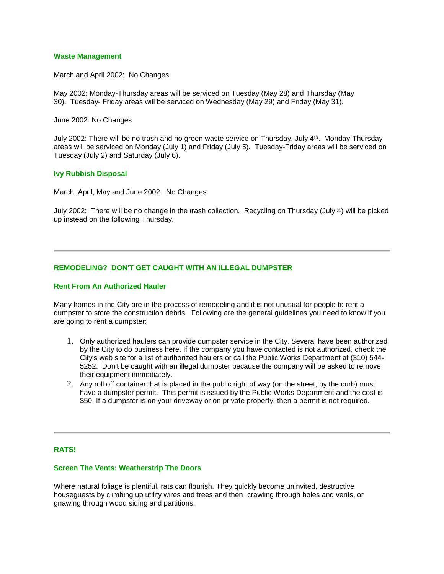### **Waste Management**

March and April 2002: No Changes

May 2002: Monday-Thursday areas will be serviced on Tuesday (May 28) and Thursday (May 30). Tuesday- Friday areas will be serviced on Wednesday (May 29) and Friday (May 31).

June 2002: No Changes

July 2002: There will be no trash and no green waste service on Thursday, July 4th . Monday-Thursday areas will be serviced on Monday (July 1) and Friday (July 5). Tuesday-Friday areas will be serviced on Tuesday (July 2) and Saturday (July 6).

### **Ivy Rubbish Disposal**

March, April, May and June 2002: No Changes

July 2002: There will be no change in the trash collection. Recycling on Thursday (July 4) will be picked up instead on the following Thursday.

# **REMODELING? DON'T GET CAUGHT WITH AN ILLEGAL DUMPSTER**

#### **Rent From An Authorized Hauler**

Many homes in the City are in the process of remodeling and it is not unusual for people to rent a dumpster to store the construction debris. Following are the general guidelines you need to know if you are going to rent a dumpster:

- 1. Only authorized haulers can provide dumpster service in the City. Several have been authorized by the City to do business here. If the company you have contacted is not authorized, check the City's web site for a list of authorized haulers or call the Public Works Department at (310) 544- 5252. Don't be caught with an illegal dumpster because the company will be asked to remove their equipment immediately.
- 2. Any roll off container that is placed in the public right of way (on the street, by the curb) must have a dumpster permit. This permit is issued by the Public Works Department and the cost is \$50. If a dumpster is on your driveway or on private property, then a permit is not required.

# **RATS!**

#### **Screen The Vents; Weatherstrip The Doors**

Where natural foliage is plentiful, rats can flourish. They quickly become uninvited, destructive houseguests by climbing up utility wires and trees and then crawling through holes and vents, or gnawing through wood siding and partitions.